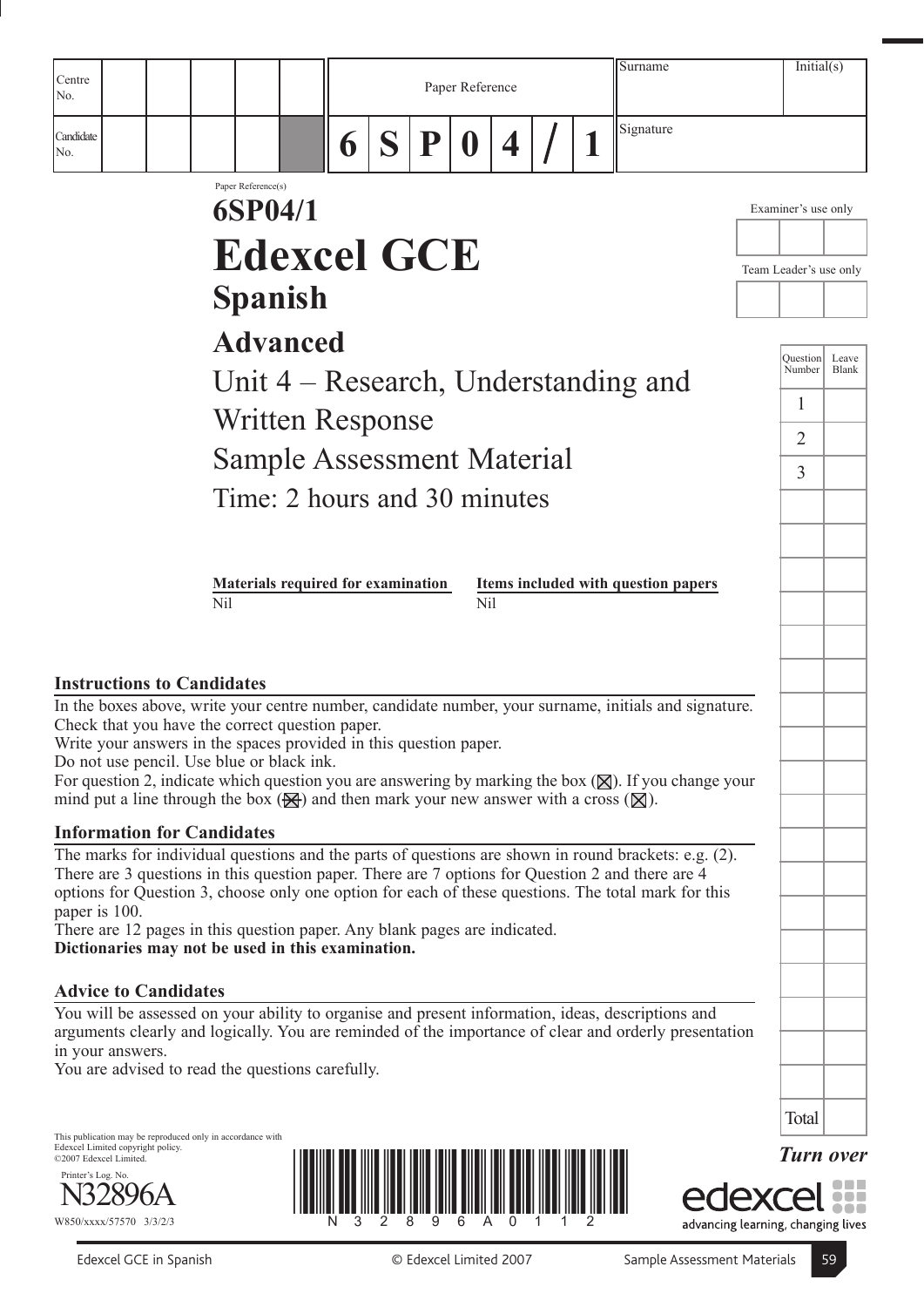| Centre<br>No.                                                                                                                                                                                                                                                                                                        |                                           | Surname<br>Paper Reference |   |             |          | Initial(s) |  |                                                                                                                                                                                                                           |                        |                |
|----------------------------------------------------------------------------------------------------------------------------------------------------------------------------------------------------------------------------------------------------------------------------------------------------------------------|-------------------------------------------|----------------------------|---|-------------|----------|------------|--|---------------------------------------------------------------------------------------------------------------------------------------------------------------------------------------------------------------------------|------------------------|----------------|
| Candidate<br>No.                                                                                                                                                                                                                                                                                                     |                                           | 6                          | S | $\mathbf P$ | $\bf{0}$ | 4          |  | Signature                                                                                                                                                                                                                 |                        |                |
|                                                                                                                                                                                                                                                                                                                      | Paper Reference(s)<br>6SP04/1             |                            |   |             |          |            |  |                                                                                                                                                                                                                           | Examiner's use only    |                |
|                                                                                                                                                                                                                                                                                                                      | <b>Edexcel GCE</b>                        |                            |   |             |          |            |  |                                                                                                                                                                                                                           |                        |                |
|                                                                                                                                                                                                                                                                                                                      |                                           |                            |   |             |          |            |  |                                                                                                                                                                                                                           | Team Leader's use only |                |
|                                                                                                                                                                                                                                                                                                                      | <b>Spanish</b>                            |                            |   |             |          |            |  |                                                                                                                                                                                                                           |                        |                |
|                                                                                                                                                                                                                                                                                                                      | <b>Advanced</b>                           |                            |   |             |          |            |  |                                                                                                                                                                                                                           | Question<br>Number     | Leave<br>Blank |
|                                                                                                                                                                                                                                                                                                                      |                                           |                            |   |             |          |            |  | Unit $4$ – Research, Understanding and                                                                                                                                                                                    | 1                      |                |
|                                                                                                                                                                                                                                                                                                                      | <b>Written Response</b>                   |                            |   |             |          |            |  |                                                                                                                                                                                                                           | $\overline{2}$         |                |
|                                                                                                                                                                                                                                                                                                                      | <b>Sample Assessment Material</b>         |                            |   |             |          |            |  |                                                                                                                                                                                                                           | $\overline{3}$         |                |
|                                                                                                                                                                                                                                                                                                                      | Time: 2 hours and 30 minutes              |                            |   |             |          |            |  |                                                                                                                                                                                                                           |                        |                |
|                                                                                                                                                                                                                                                                                                                      |                                           |                            |   |             |          |            |  |                                                                                                                                                                                                                           |                        |                |
|                                                                                                                                                                                                                                                                                                                      | <b>Materials required for examination</b> |                            |   |             |          |            |  | Items included with question papers                                                                                                                                                                                       |                        |                |
|                                                                                                                                                                                                                                                                                                                      | <b>Nil</b>                                |                            |   |             | Nil      |            |  |                                                                                                                                                                                                                           |                        |                |
|                                                                                                                                                                                                                                                                                                                      |                                           |                            |   |             |          |            |  |                                                                                                                                                                                                                           |                        |                |
| <b>Instructions to Candidates</b><br>Check that you have the correct question paper.<br>Write your answers in the spaces provided in this question paper.<br>Do not use pencil. Use blue or black ink.<br>mind put a line through the box $(\mathbb{H})$ and then mark your new answer with a cross $(\mathbb{X})$ . |                                           |                            |   |             |          |            |  | In the boxes above, write your centre number, candidate number, your surname, initials and signature.<br>For question 2, indicate which question you are answering by marking the box $(\mathbb{X})$ . If you change your |                        |                |
| <b>Information for Candidates</b>                                                                                                                                                                                                                                                                                    |                                           |                            |   |             |          |            |  |                                                                                                                                                                                                                           |                        |                |
| There are 3 questions in this question paper. There are 7 options for Question 2 and there are 4<br>paper is 100.<br>There are 12 pages in this question paper. Any blank pages are indicated.<br>Dictionaries may not be used in this examination.                                                                  |                                           |                            |   |             |          |            |  | The marks for individual questions and the parts of questions are shown in round brackets: e.g. (2).<br>options for Question 3, choose only one option for each of these questions. The total mark for this               |                        |                |
| <b>Advice to Candidates</b>                                                                                                                                                                                                                                                                                          |                                           |                            |   |             |          |            |  |                                                                                                                                                                                                                           |                        |                |
| You will be assessed on your ability to organise and present information, ideas, descriptions and<br>in your answers.<br>You are advised to read the questions carefully.                                                                                                                                            |                                           |                            |   |             |          |            |  | arguments clearly and logically. You are reminded of the importance of clear and orderly presentation                                                                                                                     |                        |                |
|                                                                                                                                                                                                                                                                                                                      |                                           |                            |   |             |          |            |  |                                                                                                                                                                                                                           | Total                  |                |
| This publication may be reproduced only in accordance with<br>Edexcel Limited copyright policy.<br>©2007 Edexcel Limited.                                                                                                                                                                                            |                                           |                            |   |             |          |            |  |                                                                                                                                                                                                                           | <b>Turn over</b>       |                |
| Printer's Log. No.<br>W850/xxxx/57570 3/3/2/3                                                                                                                                                                                                                                                                        |                                           |                            |   |             |          |            |  | advancing learning, changing lives                                                                                                                                                                                        |                        |                |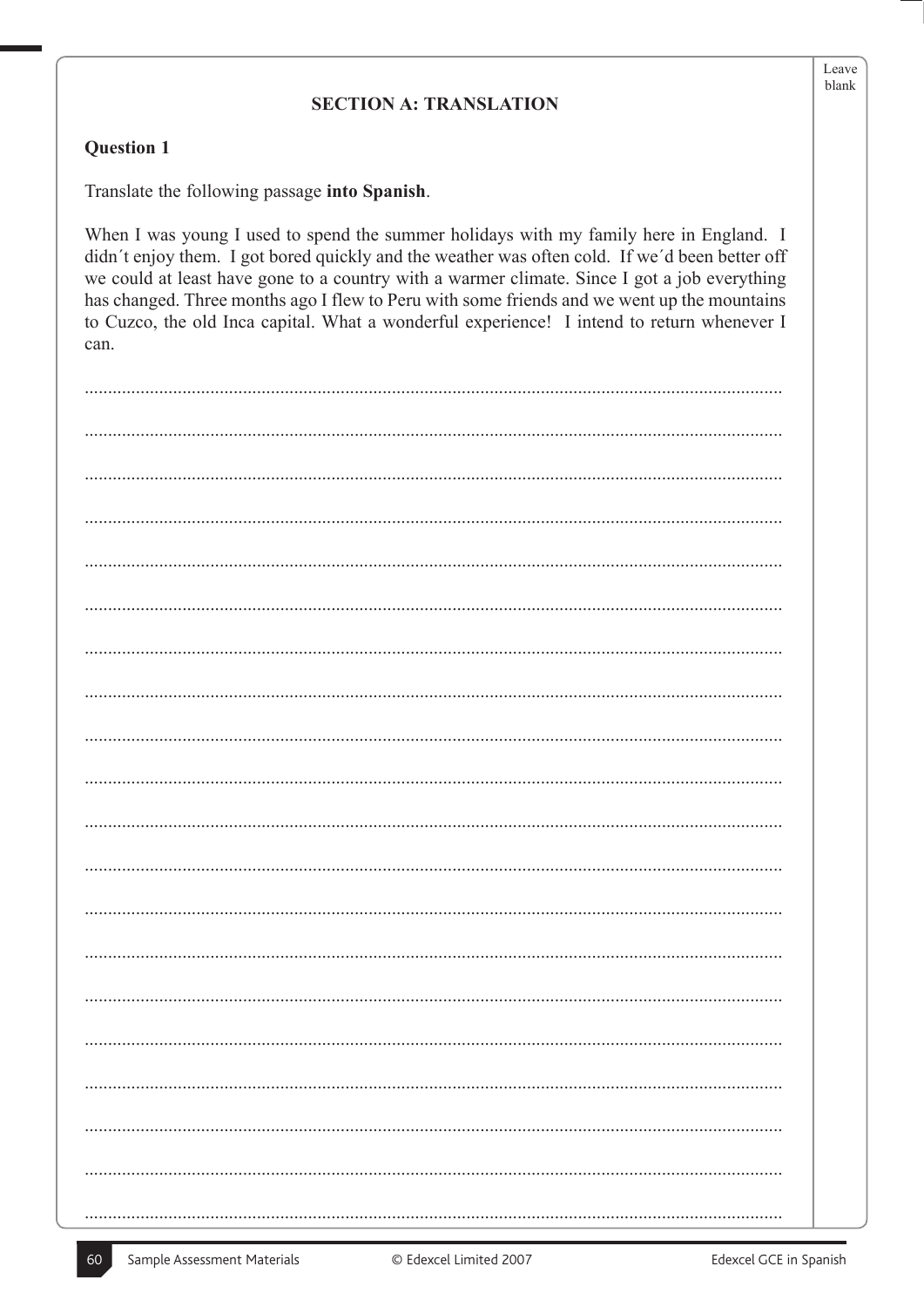| <b>Question 1</b>                                                                                                                                                                                                                                                                                                                                                                                                                                                                             |
|-----------------------------------------------------------------------------------------------------------------------------------------------------------------------------------------------------------------------------------------------------------------------------------------------------------------------------------------------------------------------------------------------------------------------------------------------------------------------------------------------|
| Translate the following passage into Spanish.                                                                                                                                                                                                                                                                                                                                                                                                                                                 |
| When I was young I used to spend the summer holidays with my family here in England. I<br>didn't enjoy them. I got bored quickly and the weather was often cold. If we'd been better off<br>we could at least have gone to a country with a warmer climate. Since I got a job everything<br>has changed. Three months ago I flew to Peru with some friends and we went up the mountains<br>to Cuzco, the old Inca capital. What a wonderful experience! I intend to return whenever I<br>can. |
|                                                                                                                                                                                                                                                                                                                                                                                                                                                                                               |
|                                                                                                                                                                                                                                                                                                                                                                                                                                                                                               |
|                                                                                                                                                                                                                                                                                                                                                                                                                                                                                               |
|                                                                                                                                                                                                                                                                                                                                                                                                                                                                                               |
|                                                                                                                                                                                                                                                                                                                                                                                                                                                                                               |
|                                                                                                                                                                                                                                                                                                                                                                                                                                                                                               |
|                                                                                                                                                                                                                                                                                                                                                                                                                                                                                               |
|                                                                                                                                                                                                                                                                                                                                                                                                                                                                                               |
|                                                                                                                                                                                                                                                                                                                                                                                                                                                                                               |
|                                                                                                                                                                                                                                                                                                                                                                                                                                                                                               |
|                                                                                                                                                                                                                                                                                                                                                                                                                                                                                               |
|                                                                                                                                                                                                                                                                                                                                                                                                                                                                                               |
|                                                                                                                                                                                                                                                                                                                                                                                                                                                                                               |
|                                                                                                                                                                                                                                                                                                                                                                                                                                                                                               |
|                                                                                                                                                                                                                                                                                                                                                                                                                                                                                               |
|                                                                                                                                                                                                                                                                                                                                                                                                                                                                                               |
|                                                                                                                                                                                                                                                                                                                                                                                                                                                                                               |
|                                                                                                                                                                                                                                                                                                                                                                                                                                                                                               |

### **SECTION A: TRANSLATION**

Leave blank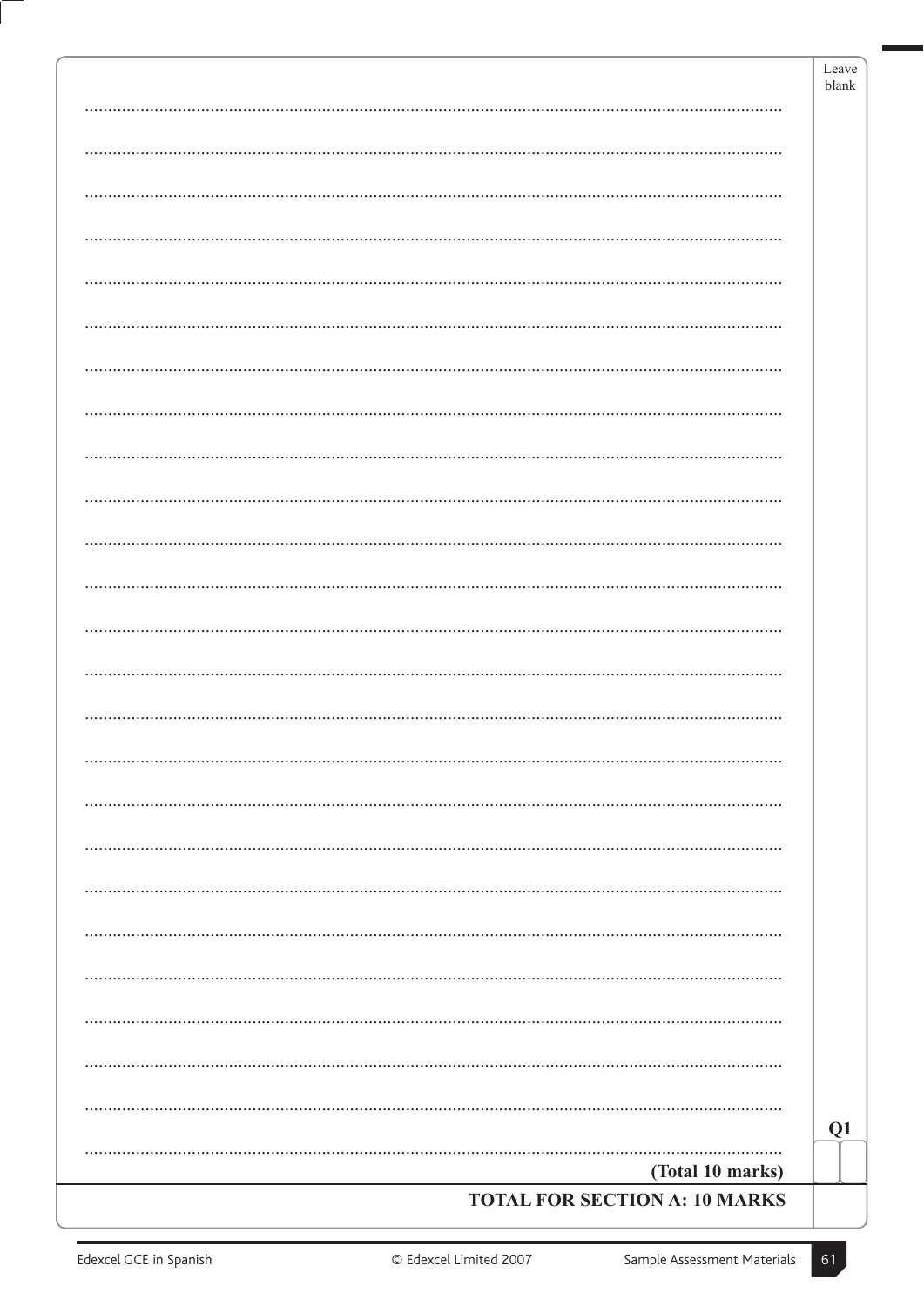|                                      |   | Leave<br>blank |
|--------------------------------------|---|----------------|
|                                      | . |                |
| .<br>                                |   |                |
|                                      |   |                |
|                                      |   |                |
|                                      |   |                |
|                                      |   |                |
| .                                    |   |                |
|                                      |   |                |
|                                      |   |                |
| .                                    |   |                |
|                                      |   |                |
|                                      | . |                |
|                                      |   |                |
|                                      |   |                |
|                                      | . |                |
|                                      |   |                |
|                                      |   |                |
|                                      |   |                |
|                                      |   |                |
|                                      |   |                |
|                                      |   |                |
|                                      |   |                |
|                                      |   |                |
|                                      |   | Q <sub>1</sub> |
| (Total 10 marks)                     |   |                |
| <b>TOTAL FOR SECTION A: 10 MARKS</b> |   |                |
|                                      |   |                |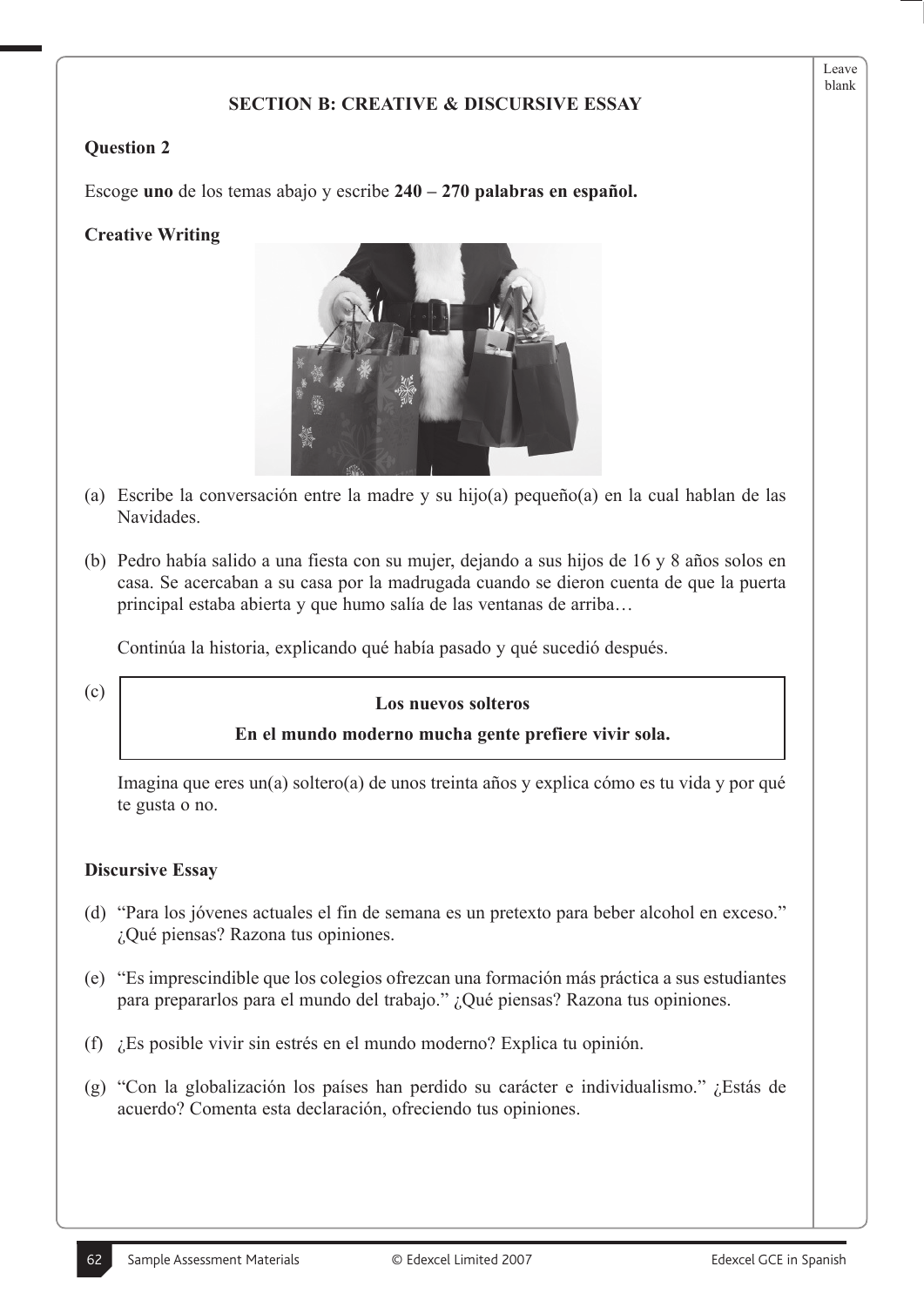# **SECTION B: CREATIVE & DISCURSIVE ESSAY**

# **Question 2**

Escoge uno de los temas abajo y escribe  $240 - 270$  palabras en español.

# **Creative Writing**



- (a) Escribe la conversación entre la madre y su hijo(a) pequeño(a) en la cual hablan de las Navidades.
- (b) Pedro había salido a una fiesta con su mujer, dejando a sus hijos de 16 y 8 años solos en casa. Se acercaban a su casa por la madrugada cuando se dieron cuenta de que la puerta principal estaba abierta y que humo salía de las ventanas de arriba...

Continúa la historia, explicando qué había pasado y qué sucedió después.

#### $(c)$

# **Los nuevos solteros**

# **En el mundo moderno mucha gente prefiere vivir sola.**

 Imagina que eres un(a) soltero(a) de unos treinta años y explica cómo es tu vida y por qué te gusta o no.

# **Discursive Essay**

- (d) "Para los jóvenes actuales el fin de semana es un pretexto para beber alcohol en exceso." ¿Qué piensas? Razona tus opiniones.
- (e) "Es imprescindible que los colegios ofrezcan una formación más práctica a sus estudiantes para prepararlos para el mundo del trabajo." ¿Qué piensas? Razona tus opiniones.
- (f) ¿Es posible vivir sin estrés en el mundo moderno? Explica tu opinión.
- (g) "Con la globalización los países han perdido su carácter e individualismo." ¿Estás de acuerdo? Comenta esta declaración, ofreciendo tus opiniones.

Leave blank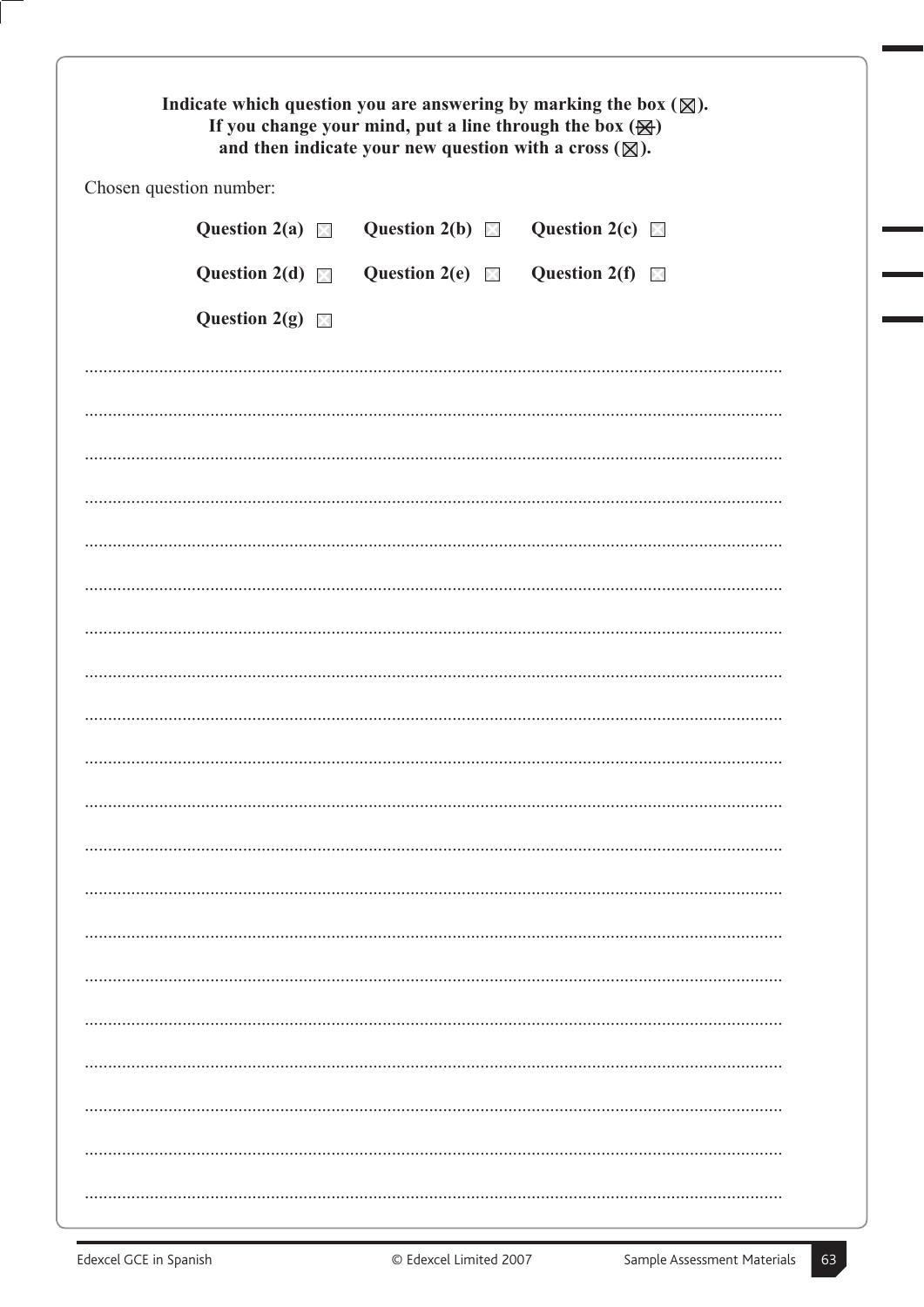| Indicate which question you are answering by marking the box $(\boxtimes)$ .<br>If you change your mind, put a line through the box $(\mathbb{H})$<br>and then indicate your new question with a cross $(\boxtimes)$ . |                         |                                                                |  |  |  |  |
|------------------------------------------------------------------------------------------------------------------------------------------------------------------------------------------------------------------------|-------------------------|----------------------------------------------------------------|--|--|--|--|
|                                                                                                                                                                                                                        | Chosen question number: |                                                                |  |  |  |  |
|                                                                                                                                                                                                                        |                         | Question 2(a) <b>Question 2(b) Question 2(c) Question 2(c)</b> |  |  |  |  |
|                                                                                                                                                                                                                        |                         | Question 2(d) <b>Question 2(e) Question 2(f) Question 2(f)</b> |  |  |  |  |
|                                                                                                                                                                                                                        | Question 2(g) $\Box$    |                                                                |  |  |  |  |
|                                                                                                                                                                                                                        |                         |                                                                |  |  |  |  |
|                                                                                                                                                                                                                        |                         |                                                                |  |  |  |  |
|                                                                                                                                                                                                                        |                         |                                                                |  |  |  |  |
|                                                                                                                                                                                                                        |                         |                                                                |  |  |  |  |
|                                                                                                                                                                                                                        |                         |                                                                |  |  |  |  |
|                                                                                                                                                                                                                        |                         |                                                                |  |  |  |  |
|                                                                                                                                                                                                                        |                         |                                                                |  |  |  |  |
|                                                                                                                                                                                                                        |                         |                                                                |  |  |  |  |
|                                                                                                                                                                                                                        |                         |                                                                |  |  |  |  |
|                                                                                                                                                                                                                        |                         |                                                                |  |  |  |  |
|                                                                                                                                                                                                                        |                         |                                                                |  |  |  |  |
|                                                                                                                                                                                                                        |                         |                                                                |  |  |  |  |
|                                                                                                                                                                                                                        |                         |                                                                |  |  |  |  |
|                                                                                                                                                                                                                        |                         |                                                                |  |  |  |  |
|                                                                                                                                                                                                                        |                         |                                                                |  |  |  |  |
|                                                                                                                                                                                                                        |                         |                                                                |  |  |  |  |
|                                                                                                                                                                                                                        |                         |                                                                |  |  |  |  |
|                                                                                                                                                                                                                        |                         |                                                                |  |  |  |  |
|                                                                                                                                                                                                                        |                         |                                                                |  |  |  |  |
|                                                                                                                                                                                                                        |                         |                                                                |  |  |  |  |
|                                                                                                                                                                                                                        |                         |                                                                |  |  |  |  |
|                                                                                                                                                                                                                        |                         |                                                                |  |  |  |  |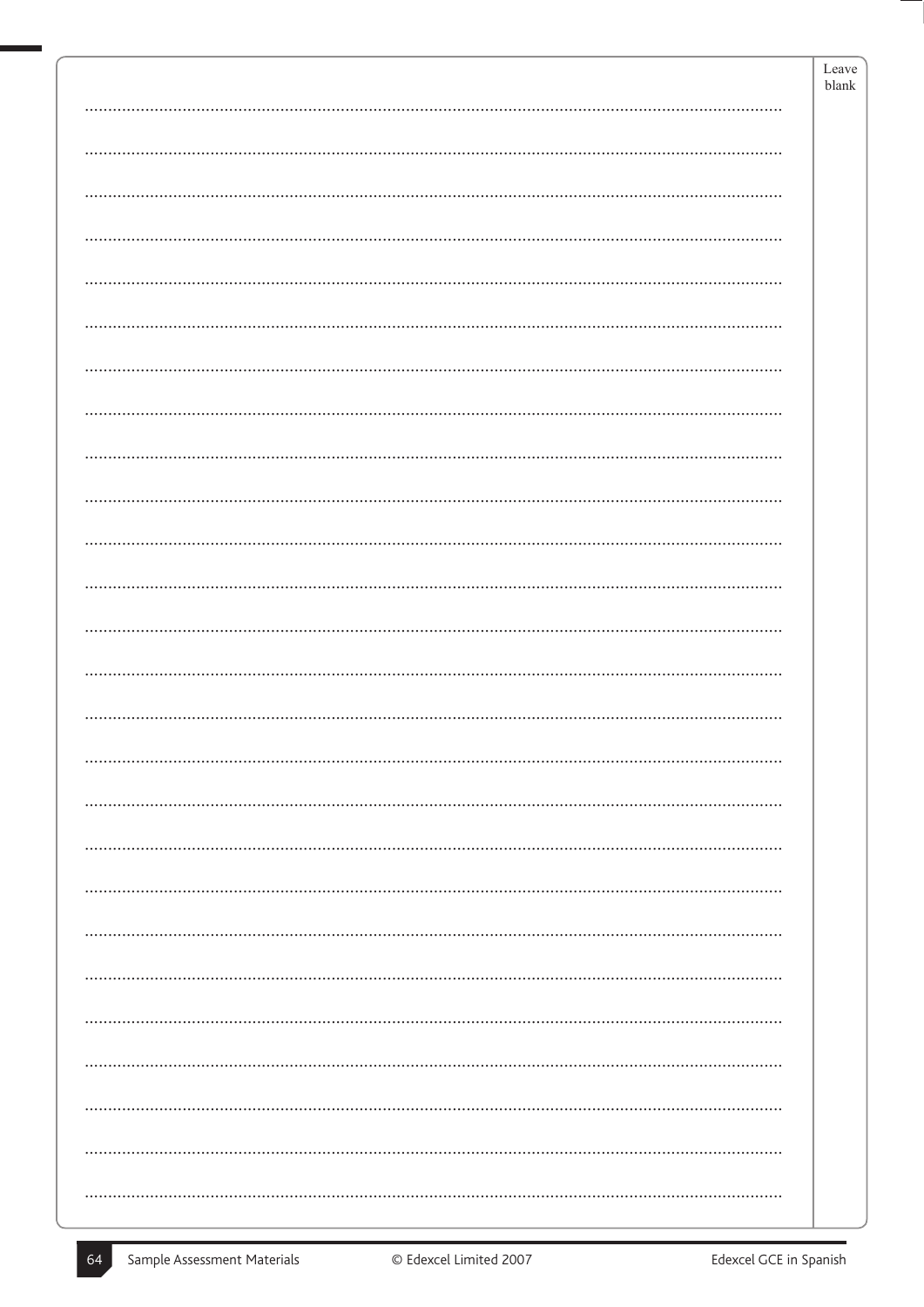|   | Leave<br>blank |
|---|----------------|
|   |                |
|   |                |
|   |                |
|   |                |
|   |                |
|   |                |
|   |                |
|   |                |
|   |                |
|   |                |
|   |                |
|   |                |
|   |                |
|   |                |
|   |                |
|   |                |
| . |                |
|   |                |
|   |                |
|   |                |
|   |                |
|   |                |
|   |                |
|   |                |
|   |                |
|   |                |
|   |                |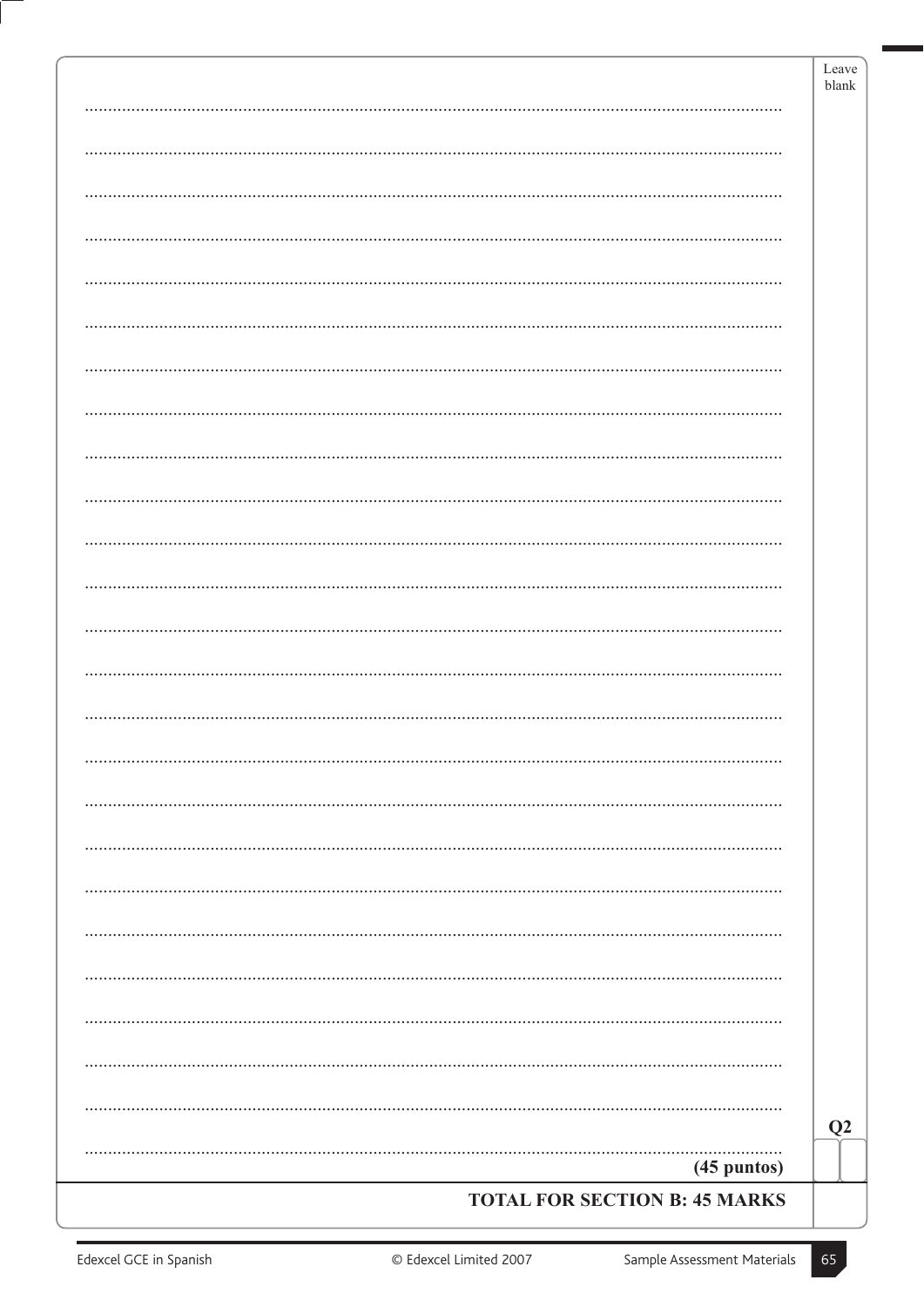|                                      | Leave<br>blank |
|--------------------------------------|----------------|
| .                                    |                |
| .                                    |                |
|                                      |                |
| .                                    |                |
|                                      |                |
| .                                    |                |
| .                                    |                |
| .                                    |                |
|                                      |                |
|                                      |                |
| .                                    |                |
|                                      |                |
|                                      |                |
|                                      |                |
|                                      |                |
|                                      |                |
|                                      |                |
| .                                    |                |
|                                      |                |
|                                      |                |
|                                      |                |
|                                      |                |
|                                      |                |
|                                      |                |
|                                      |                |
|                                      |                |
|                                      |                |
|                                      |                |
|                                      |                |
|                                      | Q2             |
| (45 puntos)                          |                |
| <b>TOTAL FOR SECTION B: 45 MARKS</b> |                |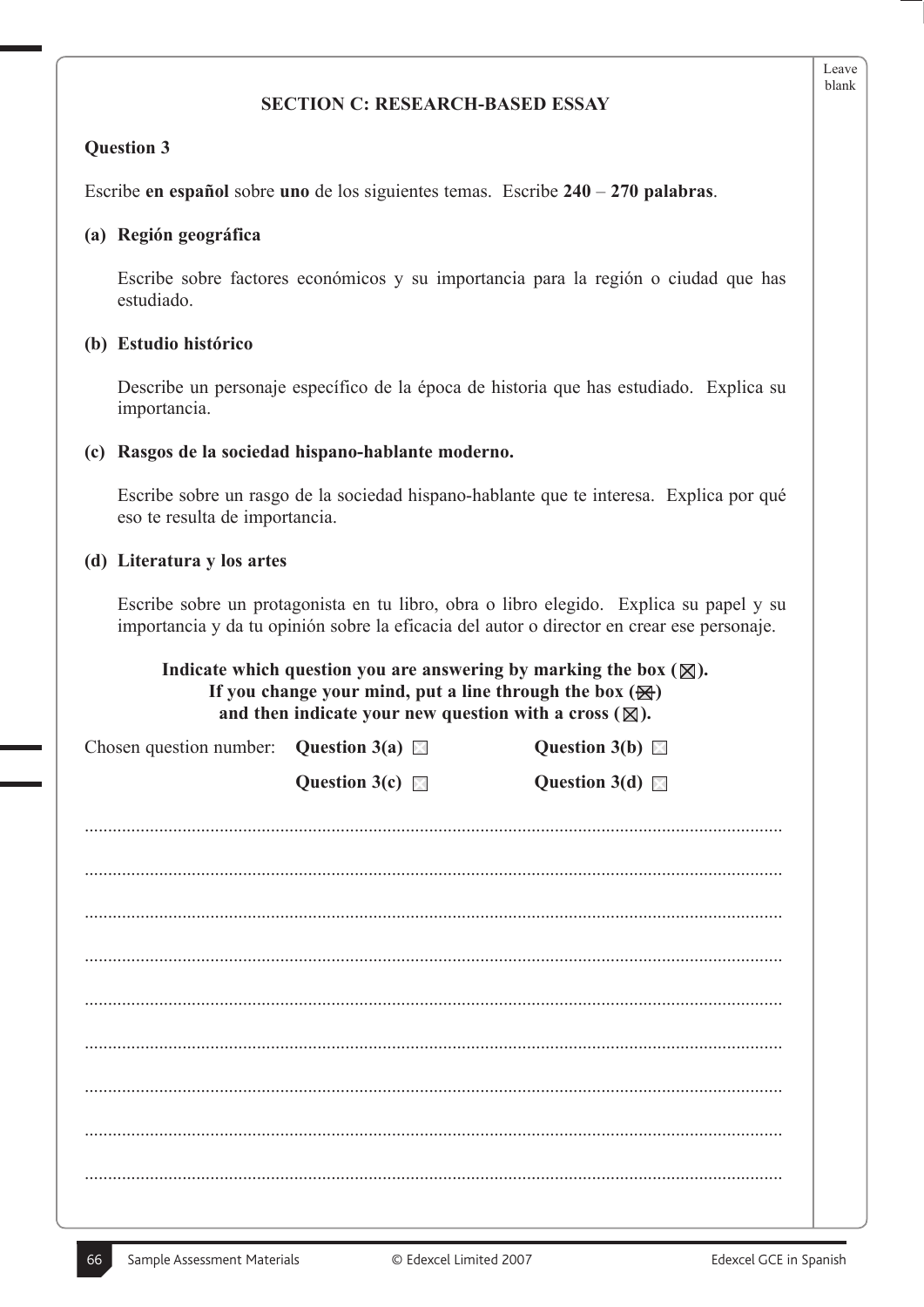# **SECTION C: RESEARCH-BASED ESSAY**

#### **Question 3**

Escribe **en español** sobre **uno** de los siguientes temas. Escribe  $240 - 270$  **palabras**.

#### **(a) Región geográfica**

 Escribe sobre factores económicos y su importancia para la región o ciudad que has estudiado.

#### **(b) Estudio histórico**

 Describe un personaje específico de la época de historia que has estudiado. Explica su importancia.

### **(c) Rasgos de la sociedad hispano-hablante moderno.**

 Escribe sobre un rasgo de la sociedad hispano-hablante que te interesa. Explica por qué eso te resulta de importancia.

### **(d) Literatura y los artes**

 Escribe sobre un protagonista en tu libro, obra o libro elegido. Explica su papel y su importancia y da tu opinión sobre la eficacia del autor o director en crear ese personaje.

### Indicate which question you are answering by marking the box  $(\mathbb{X})$ . If you change your mind, put a line through the box  $(\mathbb{H})$ and then indicate your new question with a cross  $(\boxtimes)$ .

 $\Gamma$ 

| Chosen question number: <b>Question <math>\mathfrak{I}(a)</math></b> |                 | Question $\mathfrak{z}(D)$ $\boxtimes$ |
|----------------------------------------------------------------------|-----------------|----------------------------------------|
|                                                                      | Question $3(c)$ | Question $3(d)$                        |
|                                                                      |                 |                                        |
|                                                                      |                 |                                        |
|                                                                      |                 |                                        |
|                                                                      |                 |                                        |
|                                                                      |                 |                                        |
|                                                                      |                 |                                        |
|                                                                      |                 |                                        |
|                                                                      |                 |                                        |
|                                                                      |                 |                                        |

Leave blank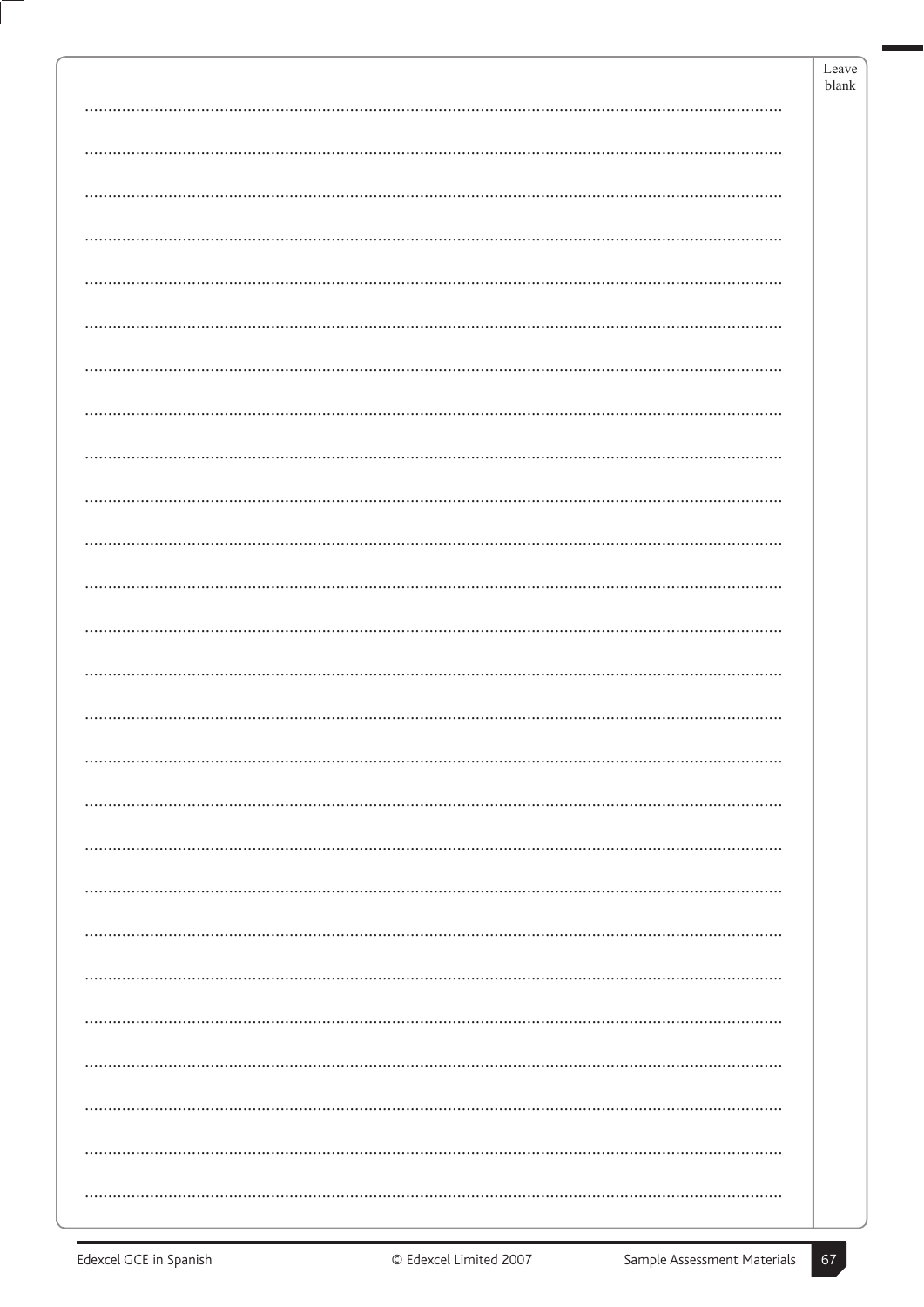|   | Leave<br>blank |
|---|----------------|
| . |                |
|   |                |
|   |                |
|   |                |
|   |                |
|   |                |
|   |                |
|   |                |
|   |                |
|   |                |
|   |                |
|   |                |
|   |                |
|   |                |
|   |                |
|   |                |
|   |                |
|   |                |
|   |                |
|   |                |
|   |                |
|   |                |
|   |                |
|   |                |
|   |                |
|   |                |
|   |                |
|   |                |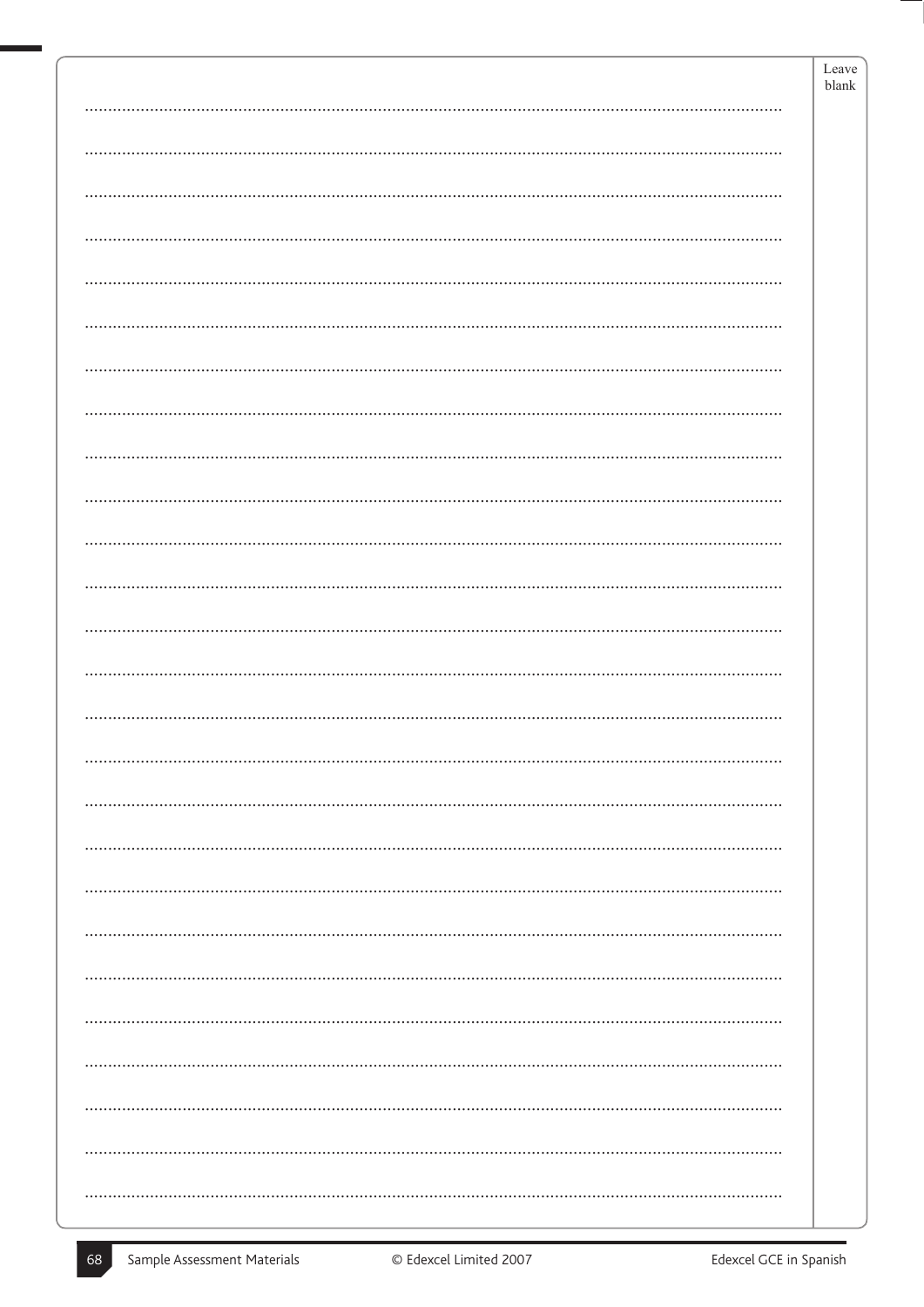| . |  |
|---|--|
|   |  |
|   |  |
|   |  |
|   |  |
|   |  |
|   |  |
|   |  |
| . |  |
|   |  |
|   |  |
|   |  |
|   |  |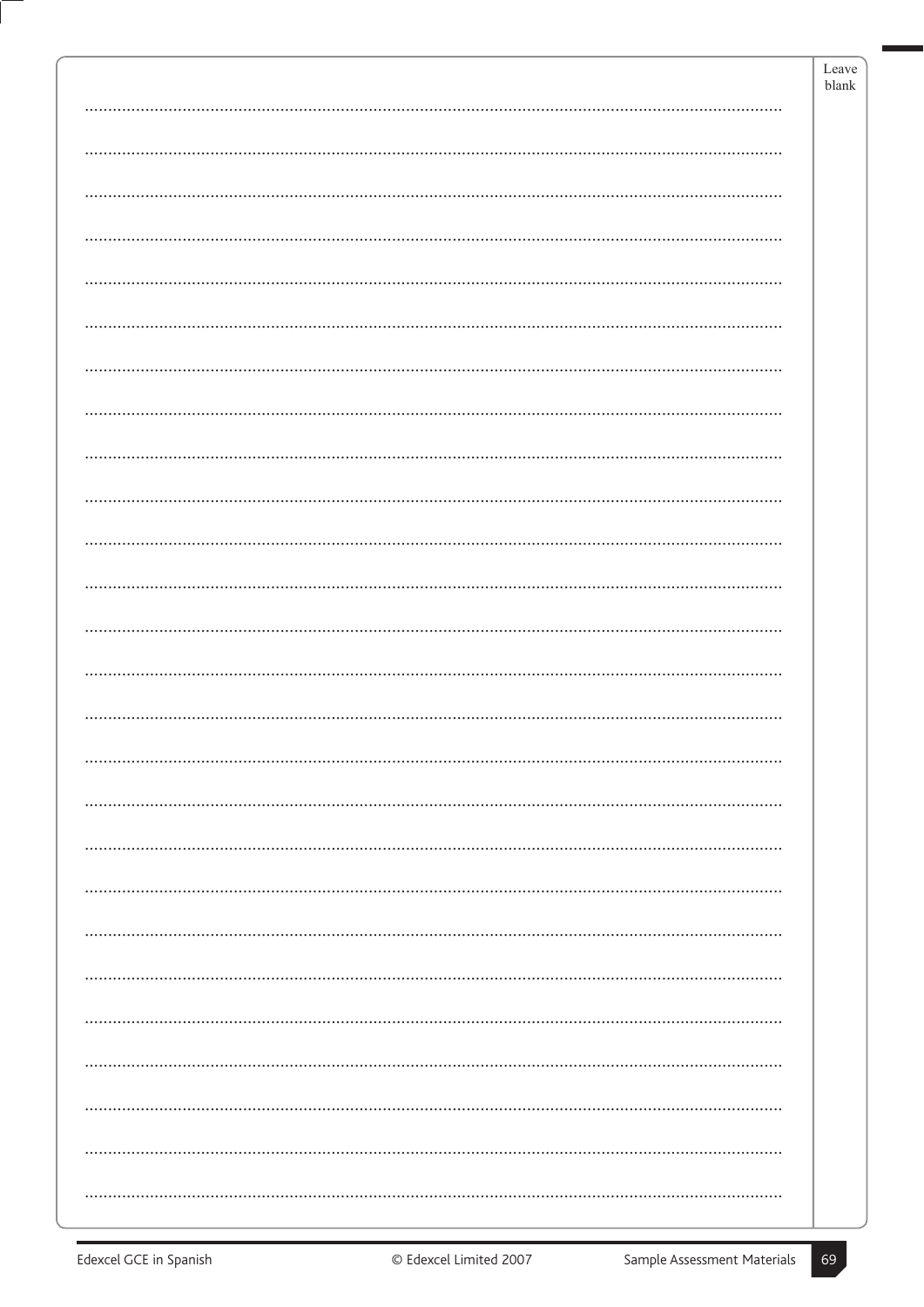|   | Leave<br>blank |
|---|----------------|
| . |                |
|   |                |
|   |                |
|   |                |
|   |                |
|   |                |
|   |                |
|   |                |
|   |                |
|   |                |
|   |                |
|   |                |
|   |                |
|   |                |
|   |                |
|   |                |
|   |                |
|   |                |
|   |                |
|   |                |
|   |                |
|   |                |
|   |                |
|   |                |
|   |                |
|   |                |
|   |                |
|   |                |